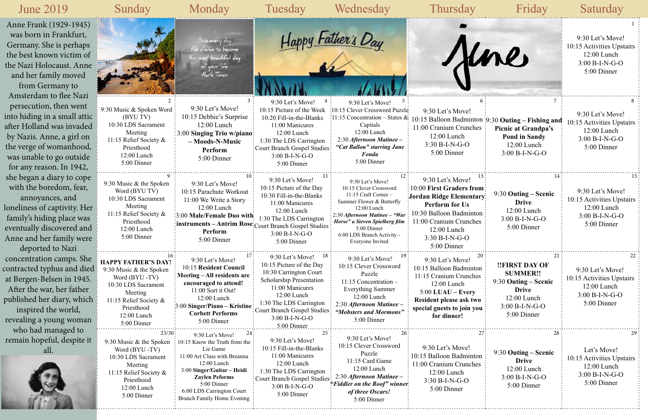## 9:30 Let's Move! 10:15 Activities Upstairs me 12:00 Lunch 3:00 B-I-N-G-O 5:00 Dinner 9:30 Let's Move! 10:15 Balloon Badminton 9:30 **Outing – Fishing and**  10:15 Activities Upstairs **Picnic at Grandpa's** 12:00 Lunch **Pond in Sandy** 3:00 B-I-N-G-O 12:00 Lunch 5:00 Dinner 3:00 B-I-N-G-O 10:00 **First Graders from**  9:30 Let's Move! 9:30 **Outing – Scenic**  tary<sup>:</sup> 10:15 Activities Upstairs **Drive** 12:00 Lunch 12:00 Lunch 3:00 B-I-N-G-O 3:00 B-I-N-G-O  $\text{res}$ 5:00 Dinner 5:00 Dinner **!!FIRST DAY OF** 9:30 Let's Move! **SUMMER!!**  $\text{res}$ 10:15 Activities Upstairs 9:30 **Outing – Scenic**  12:00 Lunch **Drive** 3:00 B-I-N-G-O 12:00 Lunch **Resident please ask two**  5:00 Dinner 3:00 B-I-N-G-O **special guests to join you**  5:00 Dinner Let's Move! 9:30 **Outing – Scenic**  10:15 Activities Upstairs: **Drive** 12:00 Lunch 12:00 Lunch 3:00 B-I-N-G-O 3:00 B-I-N-G-O 5:00 Dinner 5:00 Dinner

| <b>June 2019</b>                                                                                                                                                                                                              | Sunday                                                                                                                                                                          | Monday                                                                                                                                                                                                                                                     | Tuesday                                                                                                                                                                                                                                             | Wednesday                                                                                                                                                                                                                                                        | Thursday                                                                                                                                                                                              | Friday                                                                                                                                 | Saturday                                                                                        |
|-------------------------------------------------------------------------------------------------------------------------------------------------------------------------------------------------------------------------------|---------------------------------------------------------------------------------------------------------------------------------------------------------------------------------|------------------------------------------------------------------------------------------------------------------------------------------------------------------------------------------------------------------------------------------------------------|-----------------------------------------------------------------------------------------------------------------------------------------------------------------------------------------------------------------------------------------------------|------------------------------------------------------------------------------------------------------------------------------------------------------------------------------------------------------------------------------------------------------------------|-------------------------------------------------------------------------------------------------------------------------------------------------------------------------------------------------------|----------------------------------------------------------------------------------------------------------------------------------------|-------------------------------------------------------------------------------------------------|
| Anne Frank (1929-1945)<br>was born in Frankfurt,<br>Germany. She is perhaps<br>the best known victim of<br>the Nazi Holocaust. Anne<br>and her family moved<br>from Germany to                                                |                                                                                                                                                                                 | Give every day<br>e chance to become .<br>the most beautiful day.<br>of your life.<br>Mark Twain                                                                                                                                                           |                                                                                                                                                                                                                                                     | Happy Father's Day                                                                                                                                                                                                                                               |                                                                                                                                                                                                       | Kne                                                                                                                                    | 9:30 Let's Move!<br>10:15 Activities Upstairs<br>12:00 Lunch<br>$3:00 B-I-N-G-O$<br>5:00 Dinner |
| Amsterdam to flee Nazi<br>persecution, then went<br>into hiding in a small attic<br>after Holland was invaded<br>by Nazis. Anne, a girl on<br>the verge of womanhood,<br>was unable to go outside<br>for any reason. In 1942, | 9:30 Music & Spoken Word<br>(BYU TV)<br>10:30 LDS Sacrament<br>Meeting<br>11:15 Relief Society &<br>Priesthood<br>12:00 Lunch<br>5:00 Dinner                                    | 9:30 Let's Move!<br>10:15 Debbie's Surprise<br>12:00 Lunch<br><b>3:00 Singing Trio w/piano:</b><br>- Moods-N-Music<br>Perform<br>5:00 Dinner                                                                                                               | 9:30 Let's Move!<br>10:15 Picture of the Week<br>10:20 Fill-in-the-Blanks<br>11:00 Manicures<br>12:00 Lunch<br>1:30 The LDS Carrington<br>Court Branch Gospel Studies:<br>$3:00 B-I-N-G-O$<br>5:00 Dinner                                           | 9:30 Let's Move!<br>:10:15 Clever Crossword Puzzle<br>:11:15 Concentration – States &<br>Capitals<br>$12:00$ Lunch<br>2:30 Afternoon Matinee -<br>"Cat Ballou" starring Jane<br><b>Fonda</b><br>5:00 Dinner                                                      | 9:30 Let's Move!<br>11:00 Cranium Crunches<br>12:00 Lunch<br>$3:30 B-I-N-G-O$<br>5:00 Dinner                                                                                                          | 10:15 Balloon Badminton :9:30 Outing - Fishing and<br>Picnic at Grandpa's<br><b>Pond in Sandy</b><br>$12:00$ Lunch<br>$3:00 B-I-N-G-O$ | 9:30 Let's Move!<br>0:15 Activities Upstairs<br>12:00 Lunch<br>$3:00 B-I-N-G-O$<br>5:00 Dinner  |
| she began a diary to cope<br>with the boredom, fear,<br>annoyances, and<br>loneliness of captivity. Her<br>family's hiding place was<br>eventually discovered and<br>Anne and her family were<br>deported to Nazi             | 9:30 Music & the Spoken<br>Word (BYU TV)<br>10:30 LDS Sacrament<br>Meeting<br>11:15 Relief Society &<br>Priesthood<br>12:00 Lunch<br>5:00 Dinner                                | 9:30 Let's Move!<br>10:15 Parachute Workout<br>11:00 We Write a Story<br>12:00 Lunch<br>3:00 Male/Female Duo with<br>: instruments - Antrim Rose: Court Branch Gospel Studies :<br>Perform<br>5:00 Dinner                                                  | 9:30 Let's Move!<br>10:15 Picture of the Day<br>10:30 Fill-in-the-Blanks<br>11:00 Manicures<br>12:00 Lunch<br>1:30 The LDS Carrington<br>3:00 B-I-N-G-O<br>5:00 Dinner                                                                              | 9:30 Let's Move!<br>10:15 Clever Crossword<br>11:15 Craft Corner -<br>Summer Flower & Butterfly<br>12:00 Lunch<br>$\frac{1}{2}$ 2:30 Afternoon Matinee – "War<br>Horse" a Steven Spielberg film<br>5:00 Dinner<br>6:00 LDS Branch Activity -<br>Everyone Invited | 9:30 Let's Move!<br>10:00 First Graders from<br>Jordan Ridge Elementary<br><b>Perform for Us</b><br>10:30 Balloon Badminton<br>11:00 Cranium Crunches<br>12:00 Lunch<br>3:30 B-I-N-G-O<br>5:00 Dinner | 9:30 Outing – Scenic<br><b>Drive</b><br>12:00 Lunch<br>$3:00 B-I-N-G-O$<br>5:00 Dinner                                                 | 9:30 Let's Move!<br>10:15 Activities Upstairs<br>12:00 Lunch<br>3:00 B-I-N-G-O<br>5:00 Dinner   |
| concentration camps. She<br>contracted typhus and died i<br>at Bergen-Belsen in 1945.<br>After the war, her father<br>published her diary, which<br>inspired the world,<br>revealing a young woman                            | <b>HAPPY FATHER'S DAY!:</b><br>9:30 Music & the Spoken<br>Word (BYU-TV)<br>10:30 LDS Sacrament<br>Meeting<br>11:15 Relief Society &<br>Priesthood<br>12:00 Lunch<br>5:00 Dinner | 9:30 Let's Move!<br>10:15 Resident Council<br>$\frac{1}{2}$ : Meeting – All residents are<br>encouraged to attend!<br>11:00 Sort it Out!<br>12:00 Lunch<br>3:00 Singer/Piano – Kristine<br><b>Corbett Performs</b><br>5:00 Dinner                          | 9:30 Let's Move!<br>- 18<br>10:15 Picture of the Day<br>10:30 Carrington Court<br><b>Scholarship Presentation</b><br>11:00 Manicures<br>$12:00$ Lunch<br>1:30 The LDS Carrington<br>Court Branch Gospel Studies:<br>$3:00 B-I-N-G-O$<br>5:00 Dinner | 19 :<br>9:30 Let's Move!<br>10:15 Clever Crossword<br>Puzzle<br>11:15 Concentration -<br>Everything Summer<br>$12:00$ Lunch<br>2:30 Afternoon Matinee -<br>"Mobsters and Mormons"<br>5:00 Dinner                                                                 | 9:30 Let's Move!<br>10:15 Balloon Badminton<br>11:15 Cranium Crunches<br>12:00 Lunch<br>$5:00$ LUAU – Every<br>Resident please ask two<br>special guests to join you<br>for dinner!                   | !!FIRST DAY OF<br><b>SUMMER!!</b><br>9:30 Outing – Scenic<br><b>Drive</b><br>12:00 Lunch<br>$3:00 B-I-N-G-O$<br>5:00 Dinner            | 9:30 Let's Move!<br>10:15 Activities Upstairs<br>12:00 Lunch<br>3:00 B-I-N-G-O<br>5:00 Dinner   |
| who had managed to<br>remain hopeful, despite it<br>all.                                                                                                                                                                      | 23/30:<br>9:30 Music & the Spoken<br>Word (BYU-TV)<br>10:30 LDS Sacrament<br>Meeting<br>11:15 Relief Society &<br>Priesthood<br>12:00 Lunch<br>5:00 Dinner                      | 24<br>9:30 Let's Move!<br>10:15 Know the Truth from the<br>Lie Game<br>11:00 Art Class with Breanna<br>12:00 Lunch<br>3:00 Singer/Guitar - Heidi<br><b>Zaylen Peforms</b><br>5:00 Dinner<br>6:00 LDS Carrington Court<br><b>Branch Family Home Evening</b> | 25<br>9:30 Let's Move!<br>10:15 Fill-in-the-Blanks<br>11:00 Manicures<br>12:00 Lunch<br>1:30 The LDS Carrington<br>: Court Branch Gospel Studies:<br>3:00 B-I-N-G-O<br>5:00 Dinner                                                                  | 9:30 Let's Move!<br>10:15 Clever Crossword<br>Puzzle<br>11:15 Card Game<br>12:00 Lunch<br>2:30 Afternoon Matinee -<br>"Fiddler on the Roof" winner<br>of three Oscars!<br>5:00 Dinner                                                                            | 9:30 Let's Move!<br>10:15 Balloon Badminton<br>1:00 Cranium Crunches<br>12:00 Lunch<br>3:30 B-I-N-G-O<br>5:00 Dinner                                                                                  | 9:30 Outing – Scenic<br><b>Drive</b><br>12:00 Lunch<br>$3:00 B-I-N-G-O$<br>5:00 Dinner                                                 | Let's Move!<br>10:15 Activities Upstairs<br>12:00 Lunch<br>3:00 B-I-N-G-O<br>5:00 Dinner        |